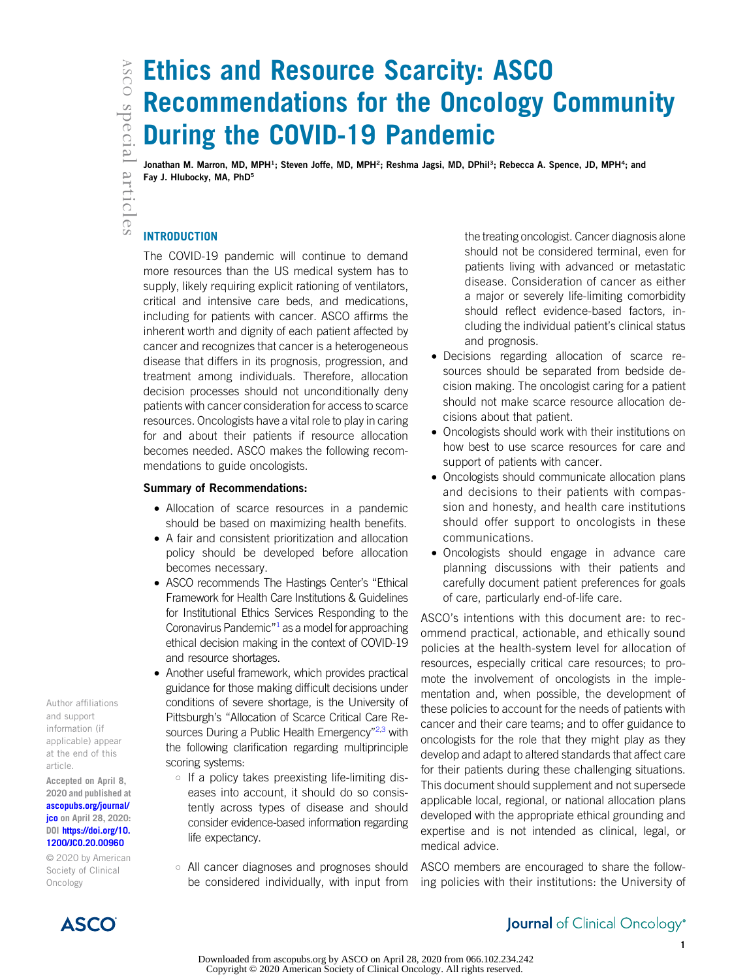# Ethics and Resource Scarcity: ASCO Recommendations for the Oncology Community During the COVID-19 Pandemic

Jonathan M. Marron, MD, MPH<sup>1</sup>; Steven Joffe, MD, MPH<sup>2</sup>; Reshma Jagsi, MD, DPhil<sup>3</sup>; Rebecca A. Spence, JD, MPH<sup>4</sup>; and Fay J. Hlubocky, MA, PhD<sup>5</sup>

# **INTRODUCTION**

The COVID-19 pandemic will continue to demand more resources than the US medical system has to supply, likely requiring explicit rationing of ventilators, critical and intensive care beds, and medications, including for patients with cancer. ASCO affirms the inherent worth and dignity of each patient affected by cancer and recognizes that cancer is a heterogeneous disease that differs in its prognosis, progression, and treatment among individuals. Therefore, allocation decision processes should not unconditionally deny patients with cancer consideration for access to scarce resources. Oncologists have a vital role to play in caring for and about their patients if resource allocation becomes needed. ASCO makes the following recommendations to guide oncologists.

#### Summary of Recommendations:

- Allocation of scarce resources in a pandemic should be based on maximizing health benefits.
- A fair and consistent prioritization and allocation policy should be developed before allocation becomes necessary.
- ASCO recommends The Hastings Center's "Ethical Framework for Health Care Institutions & Guidelines for Institutional Ethics Services Responding to the Coronavirus Pandemic $^{\prime\prime}$ <sup>[1](#page-4-0)</sup> as a model for approaching ethical decision making in the context of COVID-19 and resource shortages.
- Another useful framework, which provides practical guidance for those making difficult decisions under conditions of severe shortage, is the University of Pittsburgh's "Allocation of Scarce Critical Care Re-sources During a Public Health Emergency"<sup>[2](#page-4-1)[,3](#page-4-2)</sup> with the following clarification regarding multiprinciple scoring systems:
	- o If a policy takes preexisting life-limiting diseases into account, it should do so consistently across types of disease and should consider evidence-based information regarding life expectancy.
	- o All cancer diagnoses and prognoses should be considered individually, with input from

the treating oncologist. Cancer diagnosis alone should not be considered terminal, even for patients living with advanced or metastatic disease. Consideration of cancer as either a major or severely life-limiting comorbidity should reflect evidence-based factors, including the individual patient's clinical status and prognosis.

- Decisions regarding allocation of scarce resources should be separated from bedside decision making. The oncologist caring for a patient should not make scarce resource allocation decisions about that patient.
- Oncologists should work with their institutions on how best to use scarce resources for care and support of patients with cancer.
- Oncologists should communicate allocation plans and decisions to their patients with compassion and honesty, and health care institutions should offer support to oncologists in these communications.
- Oncologists should engage in advance care planning discussions with their patients and carefully document patient preferences for goals of care, particularly end-of-life care.

ASCO's intentions with this document are: to recommend practical, actionable, and ethically sound policies at the health-system level for allocation of resources, especially critical care resources; to promote the involvement of oncologists in the implementation and, when possible, the development of these policies to account for the needs of patients with cancer and their care teams; and to offer guidance to oncologists for the role that they might play as they develop and adapt to altered standards that affect care for their patients during these challenging situations. This document should supplement and not supersede applicable local, regional, or national allocation plans developed with the appropriate ethical grounding and expertise and is not intended as clinical, legal, or medical advice.

ASCO members are encouraged to share the following policies with their institutions: the University of

Author affiliations and support information (if applicable) appear at the end of this article.

Accepted on April 8, 2020 and published at [ascopubs.org/journal/](http://ascopubs.org/journal/jco) **[jco](http://ascopubs.org/journal/jco)** on April 28, 2020: DOI [https://doi.org/10.](http://ascopubs.org/doi/full/10.1200/JCO.20.00960) [1200/JCO.20.00960](http://ascopubs.org/doi/full/10.1200/JCO.20.00960)

© 2020 by American Society of Clinical Oncology



# **Journal** of Clinical Oncology<sup>®</sup>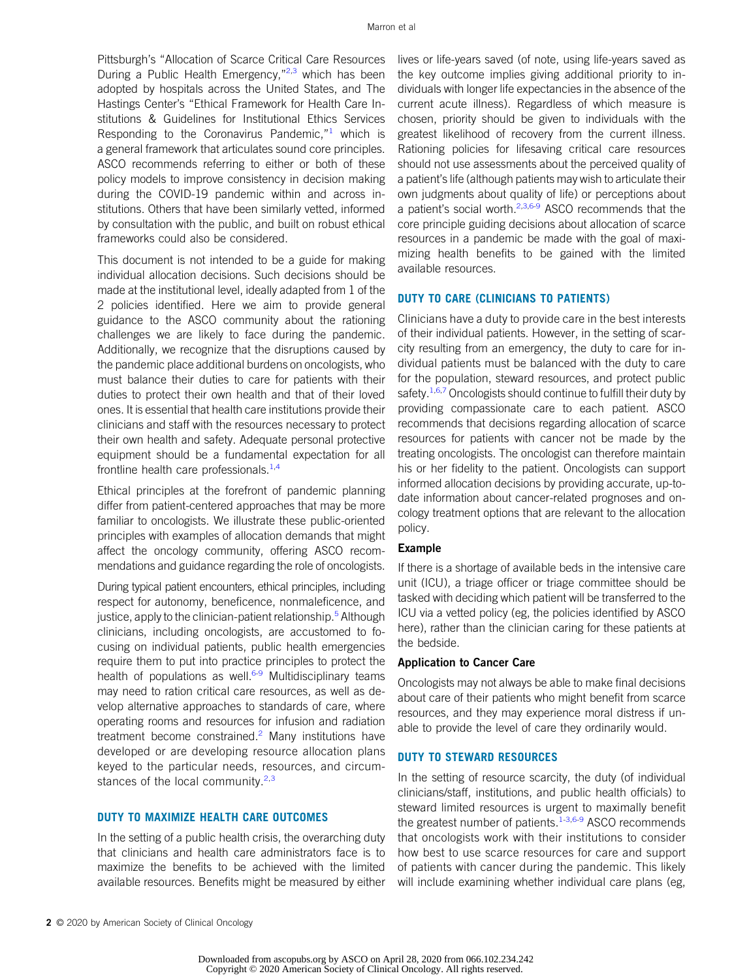Pittsburgh's "Allocation of Scarce Critical Care Resources During a Public Health Emergency,"<sup>[2](#page-4-1),[3](#page-4-2)</sup> which has been adopted by hospitals across the United States, and The Hastings Center's "Ethical Framework for Health Care Institutions & Guidelines for Institutional Ethics Services Responding to the Coronavirus Pandemic, $1$ <sup>1</sup> which is a general framework that articulates sound core principles. ASCO recommends referring to either or both of these policy models to improve consistency in decision making during the COVID-19 pandemic within and across institutions. Others that have been similarly vetted, informed by consultation with the public, and built on robust ethical frameworks could also be considered.

This document is not intended to be a guide for making individual allocation decisions. Such decisions should be made at the institutional level, ideally adapted from 1 of the 2 policies identified. Here we aim to provide general guidance to the ASCO community about the rationing challenges we are likely to face during the pandemic. Additionally, we recognize that the disruptions caused by the pandemic place additional burdens on oncologists, who must balance their duties to care for patients with their duties to protect their own health and that of their loved ones. It is essential that health care institutions provide their clinicians and staff with the resources necessary to protect their own health and safety. Adequate personal protective equipment should be a fundamental expectation for all frontline health care professionals. $1,4$  $1,4$ 

Ethical principles at the forefront of pandemic planning differ from patient-centered approaches that may be more familiar to oncologists. We illustrate these public-oriented principles with examples of allocation demands that might affect the oncology community, offering ASCO recommendations and guidance regarding the role of oncologists.

During typical patient encounters, ethical principles, including respect for autonomy, beneficence, nonmaleficence, and justice, apply to the clinician-patient relationship.<sup>[5](#page-4-4)</sup> Although clinicians, including oncologists, are accustomed to focusing on individual patients, public health emergencies require them to put into practice principles to protect the health of populations as well.<sup>[6-](#page-4-5)[9](#page-4-6)</sup> Multidisciplinary teams may need to ration critical care resources, as well as develop alternative approaches to standards of care, where operating rooms and resources for infusion and radiation treatment become constrained.<sup>[2](#page-4-1)</sup> Many institutions have developed or are developing resource allocation plans keyed to the particular needs, resources, and circumstances of the local community. $2,3$  $2,3$ 

# DUTY TO MAXIMIZE HEALTH CARE OUTCOMES

In the setting of a public health crisis, the overarching duty that clinicians and health care administrators face is to maximize the benefits to be achieved with the limited available resources. Benefits might be measured by either lives or life-years saved (of note, using life-years saved as the key outcome implies giving additional priority to individuals with longer life expectancies in the absence of the current acute illness). Regardless of which measure is chosen, priority should be given to individuals with the greatest likelihood of recovery from the current illness. Rationing policies for lifesaving critical care resources should not use assessments about the perceived quality of a patient's life (although patients may wish to articulate their own judgments about quality of life) or perceptions about a patient's social worth.<sup>[2](#page-4-1),[3](#page-4-2)[,6-](#page-4-5)[9](#page-4-6)</sup> ASCO recommends that the core principle guiding decisions about allocation of scarce resources in a pandemic be made with the goal of maximizing health benefits to be gained with the limited available resources.

#### DUTY TO CARE (CLINICIANS TO PATIENTS)

Clinicians have a duty to provide care in the best interests of their individual patients. However, in the setting of scarcity resulting from an emergency, the duty to care for individual patients must be balanced with the duty to care for the population, steward resources, and protect public safety.<sup>1[,6,](#page-4-5)[7](#page-4-7)</sup> Oncologists should continue to fulfill their duty by providing compassionate care to each patient. ASCO recommends that decisions regarding allocation of scarce resources for patients with cancer not be made by the treating oncologists. The oncologist can therefore maintain his or her fidelity to the patient. Oncologists can support informed allocation decisions by providing accurate, up-todate information about cancer-related prognoses and oncology treatment options that are relevant to the allocation policy.

# Example

If there is a shortage of available beds in the intensive care unit (ICU), a triage officer or triage committee should be tasked with deciding which patient will be transferred to the ICU via a vetted policy (eg, the policies identified by ASCO here), rather than the clinician caring for these patients at the bedside.

#### Application to Cancer Care

Oncologists may not always be able to make final decisions about care of their patients who might benefit from scarce resources, and they may experience moral distress if unable to provide the level of care they ordinarily would.

# DUTY TO STEWARD RESOURCES

In the setting of resource scarcity, the duty (of individual clinicians/staff, institutions, and public health officials) to steward limited resources is urgent to maximally benefit the greatest number of patients.<sup>[1](#page-4-0)[-3,](#page-4-2)[6](#page-4-5)[-9](#page-4-6)</sup> ASCO recommends that oncologists work with their institutions to consider how best to use scarce resources for care and support of patients with cancer during the pandemic. This likely will include examining whether individual care plans (eg,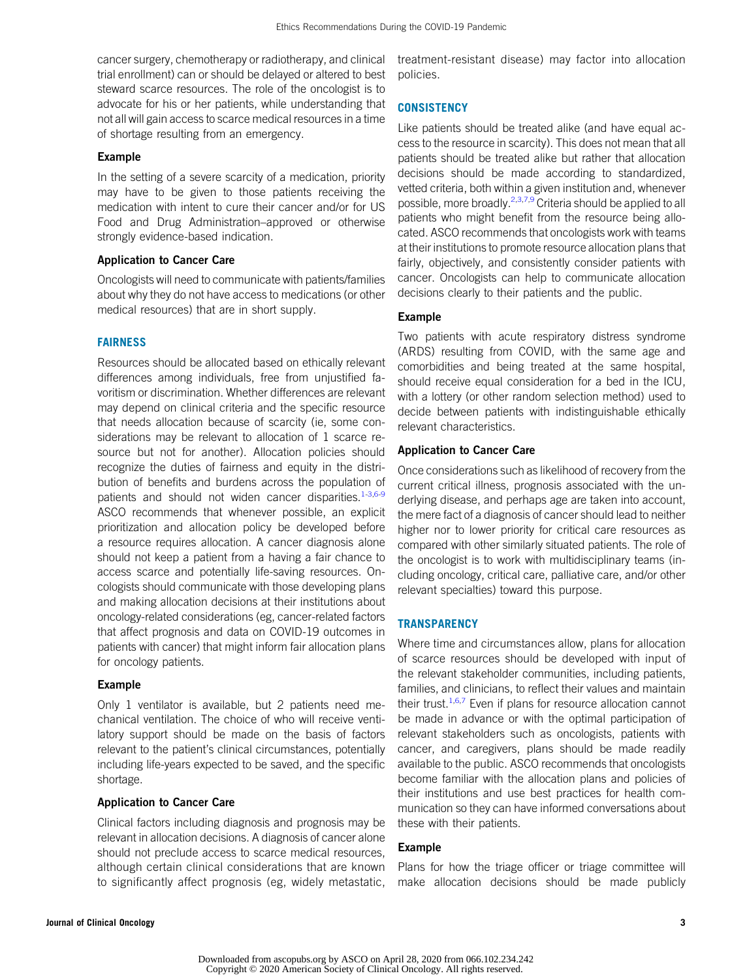cancer surgery, chemotherapy or radiotherapy, and clinical trial enrollment) can or should be delayed or altered to best steward scarce resources. The role of the oncologist is to advocate for his or her patients, while understanding that not all will gain access to scarce medical resources in a time of shortage resulting from an emergency.

# Example

In the setting of a severe scarcity of a medication, priority may have to be given to those patients receiving the medication with intent to cure their cancer and/or for US Food and Drug Administration–approved or otherwise strongly evidence-based indication.

#### Application to Cancer Care

Oncologists will need to communicate with patients/families about why they do not have access to medications (or other medical resources) that are in short supply.

#### FAIRNESS

Resources should be allocated based on ethically relevant differences among individuals, free from unjustified favoritism or discrimination. Whether differences are relevant may depend on clinical criteria and the specific resource that needs allocation because of scarcity (ie, some considerations may be relevant to allocation of 1 scarce resource but not for another). Allocation policies should recognize the duties of fairness and equity in the distribution of benefits and burdens across the population of patients and should not widen cancer disparities.<sup>[1-](#page-4-0)[3](#page-4-2)[,6](#page-4-5)[-9](#page-4-6)</sup> ASCO recommends that whenever possible, an explicit prioritization and allocation policy be developed before a resource requires allocation. A cancer diagnosis alone should not keep a patient from a having a fair chance to access scarce and potentially life-saving resources. Oncologists should communicate with those developing plans and making allocation decisions at their institutions about oncology-related considerations (eg, cancer-related factors that affect prognosis and data on COVID-19 outcomes in patients with cancer) that might inform fair allocation plans for oncology patients.

#### Example

Only 1 ventilator is available, but 2 patients need mechanical ventilation. The choice of who will receive ventilatory support should be made on the basis of factors relevant to the patient's clinical circumstances, potentially including life-years expected to be saved, and the specific shortage.

#### Application to Cancer Care

Clinical factors including diagnosis and prognosis may be relevant in allocation decisions. A diagnosis of cancer alone should not preclude access to scarce medical resources, although certain clinical considerations that are known to significantly affect prognosis (eg, widely metastatic,

treatment-resistant disease) may factor into allocation policies.

# **CONSISTENCY**

Like patients should be treated alike (and have equal access to the resource in scarcity). This does not mean that all patients should be treated alike but rather that allocation decisions should be made according to standardized, vetted criteria, both within a given institution and, whenever possible, more broadly.<sup>2,[3,](#page-4-2)[7](#page-4-7),[9](#page-4-6)</sup> Criteria should be applied to all patients who might benefit from the resource being allocated. ASCO recommends that oncologists work with teams at their institutions to promote resource allocation plans that fairly, objectively, and consistently consider patients with cancer. Oncologists can help to communicate allocation decisions clearly to their patients and the public.

# Example

Two patients with acute respiratory distress syndrome (ARDS) resulting from COVID, with the same age and comorbidities and being treated at the same hospital, should receive equal consideration for a bed in the ICU, with a lottery (or other random selection method) used to decide between patients with indistinguishable ethically relevant characteristics.

#### Application to Cancer Care

Once considerations such as likelihood of recovery from the current critical illness, prognosis associated with the underlying disease, and perhaps age are taken into account, the mere fact of a diagnosis of cancer should lead to neither higher nor to lower priority for critical care resources as compared with other similarly situated patients. The role of the oncologist is to work with multidisciplinary teams (including oncology, critical care, palliative care, and/or other relevant specialties) toward this purpose.

# **TRANSPARENCY**

Where time and circumstances allow, plans for allocation of scarce resources should be developed with input of the relevant stakeholder communities, including patients, families, and clinicians, to reflect their values and maintain their trust.<sup>[1](#page-4-0),[6](#page-4-5),[7](#page-4-7)</sup> Even if plans for resource allocation cannot be made in advance or with the optimal participation of relevant stakeholders such as oncologists, patients with cancer, and caregivers, plans should be made readily available to the public. ASCO recommends that oncologists become familiar with the allocation plans and policies of their institutions and use best practices for health communication so they can have informed conversations about these with their patients.

# Example

Plans for how the triage officer or triage committee will make allocation decisions should be made publicly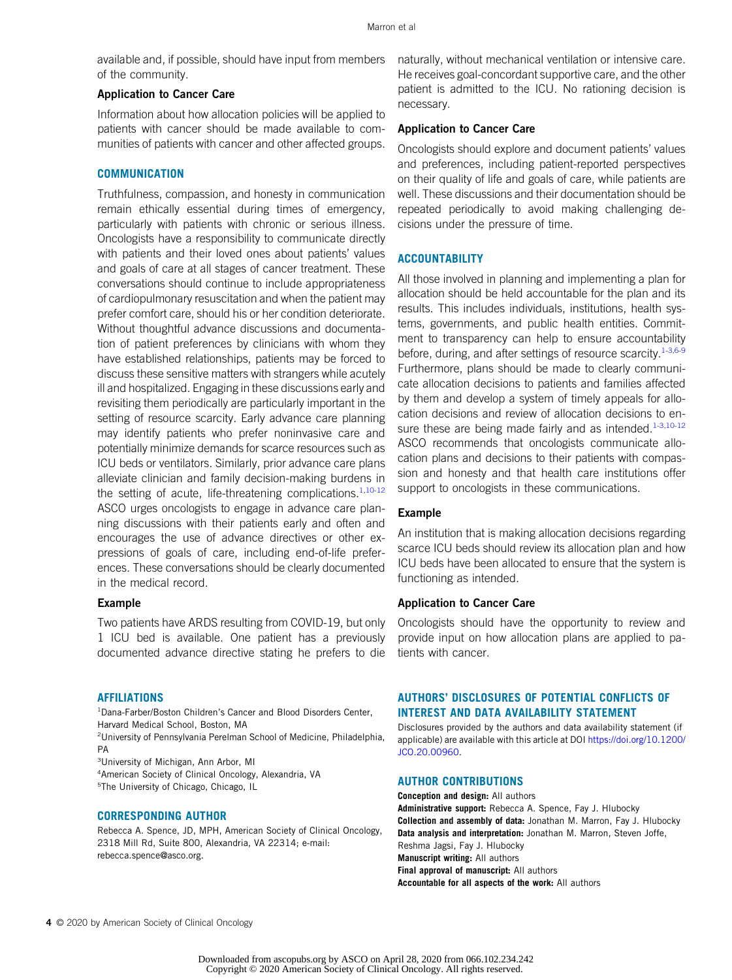available and, if possible, should have input from members of the community.

#### Application to Cancer Care

Information about how allocation policies will be applied to patients with cancer should be made available to communities of patients with cancer and other affected groups.

#### **COMMUNICATION**

Truthfulness, compassion, and honesty in communication remain ethically essential during times of emergency, particularly with patients with chronic or serious illness. Oncologists have a responsibility to communicate directly with patients and their loved ones about patients' values and goals of care at all stages of cancer treatment. These conversations should continue to include appropriateness of cardiopulmonary resuscitation and when the patient may prefer comfort care, should his or her condition deteriorate. Without thoughtful advance discussions and documentation of patient preferences by clinicians with whom they have established relationships, patients may be forced to discuss these sensitive matters with strangers while acutely ill and hospitalized. Engaging in these discussions early and revisiting them periodically are particularly important in the setting of resource scarcity. Early advance care planning may identify patients who prefer noninvasive care and potentially minimize demands for scarce resources such as ICU beds or ventilators. Similarly, prior advance care plans alleviate clinician and family decision-making burdens in the setting of acute, life-threatening complications. $1,10-12$  $1,10-12$  $1,10-12$ ASCO urges oncologists to engage in advance care planning discussions with their patients early and often and encourages the use of advance directives or other expressions of goals of care, including end-of-life preferences. These conversations should be clearly documented in the medical record.

#### Example

Two patients have ARDS resulting from COVID-19, but only 1 ICU bed is available. One patient has a previously documented advance directive stating he prefers to die

#### AFFILIATIONS

<sup>1</sup>Dana-Farber/Boston Children's Cancer and Blood Disorders Center, Harvard Medical School, Boston, MA

2 University of Pennsylvania Perelman School of Medicine, Philadelphia, PA

3 University of Michigan, Ann Arbor, MI

4 American Society of Clinical Oncology, Alexandria, VA 5 The University of Chicago, Chicago, IL

#### CORRESPONDING AUTHOR

Rebecca A. Spence, JD, MPH, American Society of Clinical Oncology, 2318 Mill Rd, Suite 800, Alexandria, VA 22314; e-mail: [rebecca.spence@asco.org.](mailto:rebecca.spence@asco.org)

naturally, without mechanical ventilation or intensive care. He receives goal-concordant supportive care, and the other patient is admitted to the ICU. No rationing decision is necessary.

#### Application to Cancer Care

Oncologists should explore and document patients' values and preferences, including patient-reported perspectives on their quality of life and goals of care, while patients are well. These discussions and their documentation should be repeated periodically to avoid making challenging decisions under the pressure of time.

#### **ACCOUNTABILITY**

All those involved in planning and implementing a plan for allocation should be held accountable for the plan and its results. This includes individuals, institutions, health systems, governments, and public health entities. Commitment to transparency can help to ensure accountability before, during, and after settings of resource scarcity.<sup>[1](#page-4-0)[-3,](#page-4-2)[6-](#page-4-5)[9](#page-4-6)</sup> Furthermore, plans should be made to clearly communicate allocation decisions to patients and families affected by them and develop a system of timely appeals for allocation decisions and review of allocation decisions to en-sure these are being made fairly and as intended.<sup>[1](#page-4-0)[-3,](#page-4-2)[10](#page-4-8)[-12](#page-4-9)</sup> ASCO recommends that oncologists communicate allocation plans and decisions to their patients with compassion and honesty and that health care institutions offer support to oncologists in these communications.

#### Example

An institution that is making allocation decisions regarding scarce ICU beds should review its allocation plan and how ICU beds have been allocated to ensure that the system is functioning as intended.

#### Application to Cancer Care

Oncologists should have the opportunity to review and provide input on how allocation plans are applied to patients with cancer.

# AUTHORS' DISCLOSURES OF POTENTIAL CONFLICTS OF INTEREST AND DATA AVAILABILITY STATEMENT

Disclosures provided by the authors and data availability statement (if applicable) are available with this article at DOI [https://doi.org/10.1200/](https://ascopubs.org/doi/full/10.1200/JCO.20.00960) [JCO.20.00960.](https://ascopubs.org/doi/full/10.1200/JCO.20.00960)

#### AUTHOR CONTRIBUTIONS

Conception and design: All authors Administrative support: Rebecca A. Spence, Fay J. Hlubocky Collection and assembly of data: Jonathan M. Marron, Fay J. Hlubocky Data analysis and interpretation: Jonathan M. Marron, Steven Joffe, Reshma Jagsi, Fay J. Hlubocky Manuscript writing: All authors **Final approval of manuscript:** All authors Accountable for all aspects of the work: All authors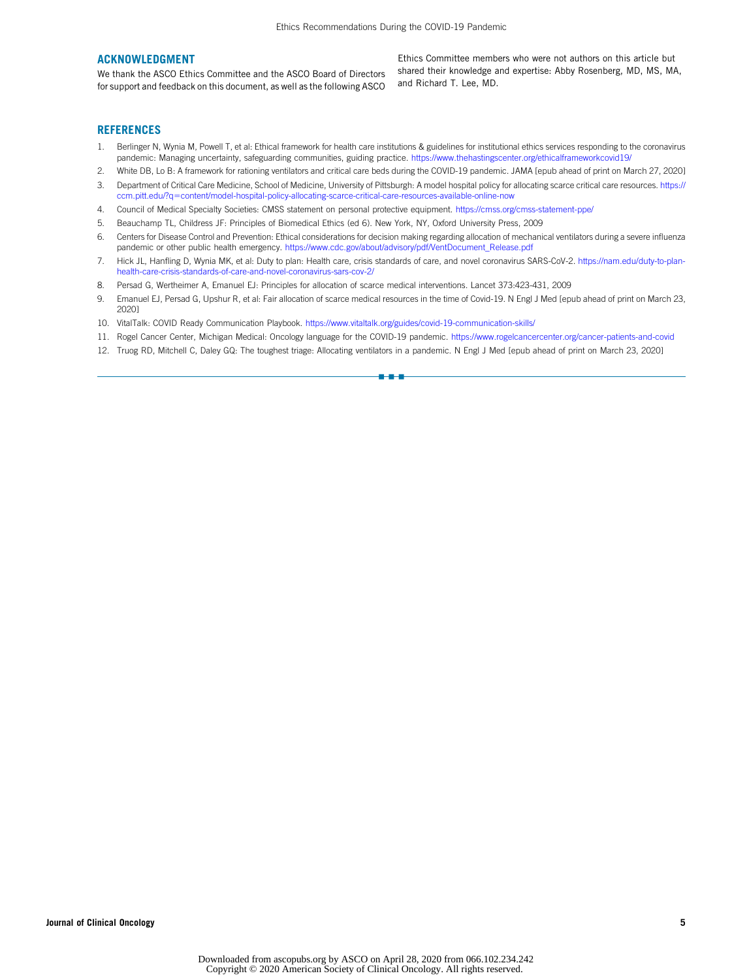#### ACKNOWLEDGMENT

We thank the ASCO Ethics Committee and the ASCO Board of Directors for support and feedback on this document, as well as the following ASCO

Ethics Committee members who were not authors on this article but shared their knowledge and expertise: Abby Rosenberg, MD, MS, MA, and Richard T. Lee, MD.

#### **REFERENCES**

- <span id="page-4-0"></span>1. Berlinger N, Wynia M, Powell T, et al: Ethical framework for health care institutions & guidelines for institutional ethics services responding to the coronavirus pandemic: Managing uncertainty, safeguarding communities, guiding practice. <https://www.thehastingscenter.org/ethicalframeworkcovid19/>
- <span id="page-4-1"></span>2. White DB, Lo B: A framework for rationing ventilators and critical care beds during the COVID-19 pandemic. JAMA [epub ahead of print on March 27, 2020]
- <span id="page-4-2"></span>3. Department of Critical Care Medicine, School of Medicine, University of Pittsburgh: A model hospital policy for allocating scarce critical care resources. [https://](https://ccm.pitt.edu/?q=content/model-hospital-policy-allocating-scarce-critical-care-resources-available-online-now) [ccm.pitt.edu/?q](https://ccm.pitt.edu/?q=content/model-hospital-policy-allocating-scarce-critical-care-resources-available-online-now)=[content/model-hospital-policy-allocating-scarce-critical-care-resources-available-online-now](https://ccm.pitt.edu/?q=content/model-hospital-policy-allocating-scarce-critical-care-resources-available-online-now)
- <span id="page-4-3"></span>4. Council of Medical Specialty Societies: CMSS statement on personal protective equipment. <https://cmss.org/cmss-statement-ppe/>
- <span id="page-4-4"></span>5. Beauchamp TL, Childress JF: Principles of Biomedical Ethics (ed 6). New York, NY, Oxford University Press, 2009
- <span id="page-4-5"></span>6. Centers for Disease Control and Prevention: Ethical considerations for decision making regarding allocation of mechanical ventilators during a severe influenza pandemic or other public health emergency. [https://www.cdc.gov/about/advisory/pdf/VentDocument\\_Release.pdf](https://www.cdc.gov/about/advisory/pdf/VentDocument_Release.pdf)
- <span id="page-4-7"></span>7. Hick JL, Hanfling D, Wynia MK, et al: Duty to plan: Health care, crisis standards of care, and novel coronavirus SARS-CoV-2. [https://nam.edu/duty-to-plan](https://nam.edu/duty-to-plan-health-care-crisis-standards-of-care-and-novel-coronavirus-sars-cov-2/)[health-care-crisis-standards-of-care-and-novel-coronavirus-sars-cov-2/](https://nam.edu/duty-to-plan-health-care-crisis-standards-of-care-and-novel-coronavirus-sars-cov-2/)
- 8. Persad G, Wertheimer A, Emanuel EJ: Principles for allocation of scarce medical interventions. Lancet 373:423-431, 2009
- <span id="page-4-6"></span>9. Emanuel EJ, Persad G, Upshur R, et al: Fair allocation of scarce medical resources in the time of Covid-19. N Engl J Med [epub ahead of print on March 23, 2020]
- <span id="page-4-8"></span>10. VitalTalk: COVID Ready Communication Playbook. <https://www.vitaltalk.org/guides/covid-19-communication-skills/>
- 11. Rogel Cancer Center, Michigan Medical: Oncology language for the COVID-19 pandemic. <https://www.rogelcancercenter.org/cancer-patients-and-covid>

nn - 1

<span id="page-4-9"></span>12. Truog RD, Mitchell C, Daley GQ: The toughest triage: Allocating ventilators in a pandemic. N Engl J Med [epub ahead of print on March 23, 2020]